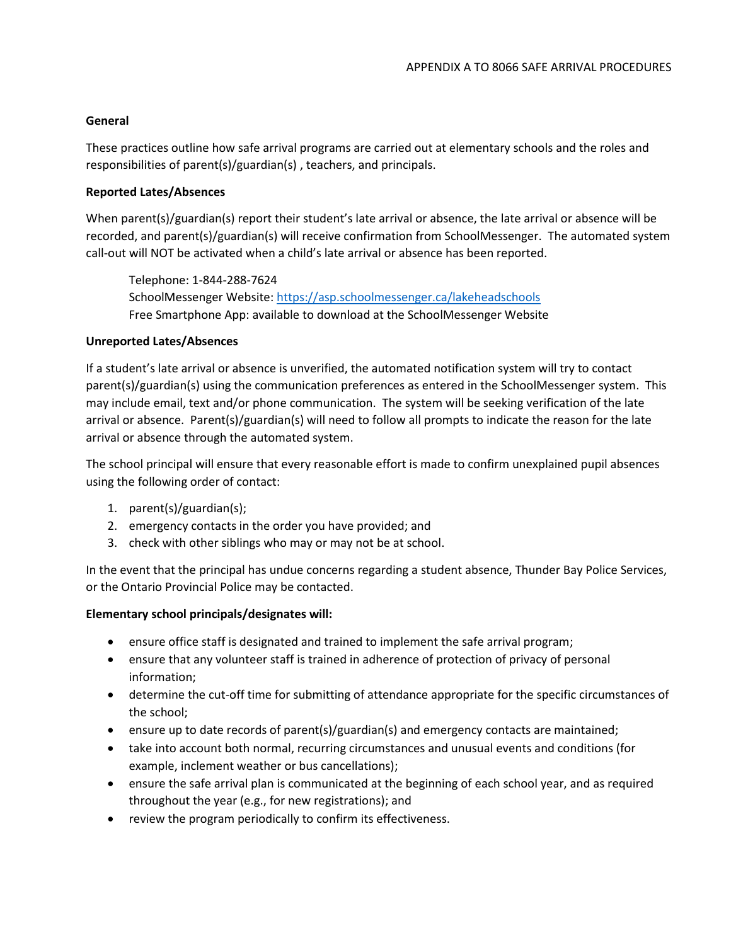## **General**

These practices outline how safe arrival programs are carried out at elementary schools and the roles and responsibilities of parent(s)/guardian(s) , teachers, and principals.

### **Reported Lates/Absences**

When parent(s)/guardian(s) report their student's late arrival or absence, the late arrival or absence will be recorded, and parent(s)/guardian(s) will receive confirmation from SchoolMessenger. The automated system call-out will NOT be activated when a child's late arrival or absence has been reported.

Telephone: 1-844-288-7624 SchoolMessenger Website:<https://asp.schoolmessenger.ca/lakeheadschools> Free Smartphone App: available to download at the SchoolMessenger Website

### **Unreported Lates/Absences**

If a student's late arrival or absence is unverified, the automated notification system will try to contact parent(s)/guardian(s) using the communication preferences as entered in the SchoolMessenger system. This may include email, text and/or phone communication. The system will be seeking verification of the late arrival or absence. Parent(s)/guardian(s) will need to follow all prompts to indicate the reason for the late arrival or absence through the automated system.

The school principal will ensure that every reasonable effort is made to confirm unexplained pupil absences using the following order of contact:

- 1. parent(s)/guardian(s);
- 2. emergency contacts in the order you have provided; and
- 3. check with other siblings who may or may not be at school.

In the event that the principal has undue concerns regarding a student absence, Thunder Bay Police Services, or the Ontario Provincial Police may be contacted.

## **Elementary school principals/designates will:**

- ensure office staff is designated and trained to implement the safe arrival program;
- ensure that any volunteer staff is trained in adherence of protection of privacy of personal information;
- determine the cut-off time for submitting of attendance appropriate for the specific circumstances of the school;
- ensure up to date records of parent(s)/guardian(s) and emergency contacts are maintained;
- take into account both normal, recurring circumstances and unusual events and conditions (for example, inclement weather or bus cancellations);
- ensure the safe arrival plan is communicated at the beginning of each school year, and as required throughout the year (e.g., for new registrations); and
- review the program periodically to confirm its effectiveness.